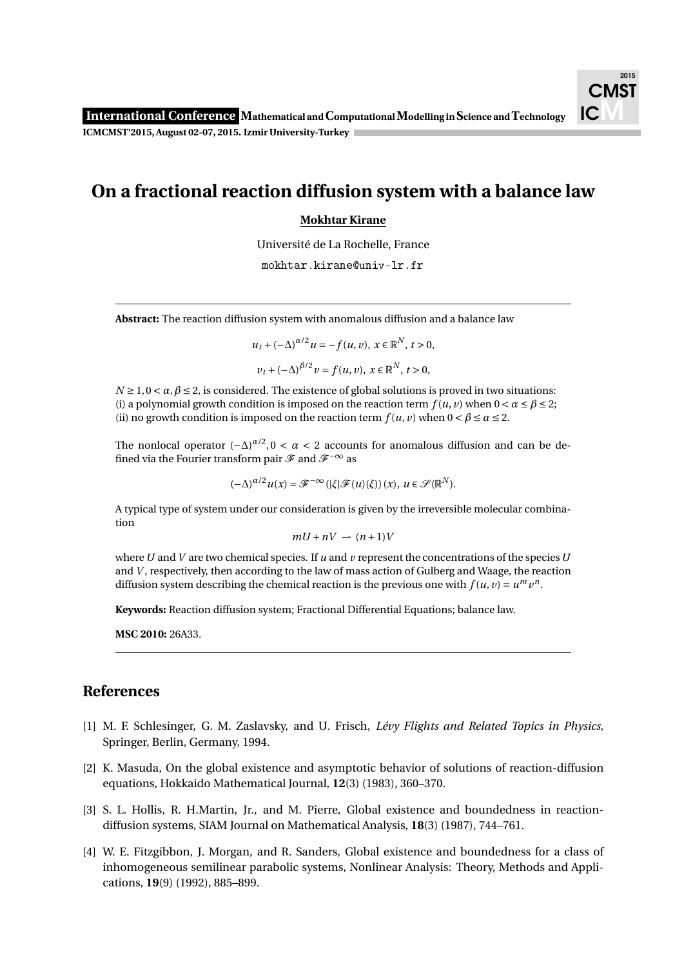## **On a fractional reaction diffusion system with a balance law**

## **Mokhtar Kirane**

Université de La Rochelle, France

mokhtar.kirane@univ-lr.fr

**Abstract:** The reaction diffusion system with anomalous diffusion and a balance law

$$
u_t + (-\Delta)^{\alpha/2} u = -f(u, v), \ x \in \mathbb{R}^N, \ t > 0,
$$
  

$$
v_t + (-\Delta)^{\beta/2} v = f(u, v), \ x \in \mathbb{R}^N, \ t > 0,
$$

 $N \ge 1, 0 \le \alpha, \beta \le 2$ , is considered. The existence of global solutions is proved in two situations: (i) a polynomial growth condition is imposed on the reaction term  $f(u, v)$  when  $0 < \alpha \le \beta \le 2$ ; (ii) no growth condition is imposed on the reaction term  $f(u, v)$  when  $0 < \beta \le \alpha \le 2$ .

The nonlocal operator  $(-\Delta)^{\alpha/2}$ , 0 <  $\alpha$  < 2 accounts for anomalous diffusion and can be defined via the Fourier transform pair  $\mathscr F$  and  $\mathscr F^{-\infty}$  as

 $(-\Delta)^{\alpha/2}u(x) = \mathscr{F}^{-\infty}(|\xi|\mathscr{F}(u)(\xi))(x), u \in \mathscr{S}(\mathbb{R}^N).$ 

A typical type of system under our consideration is given by the irreversible molecular combination

$$
mU + nV \rightharpoonup (n+1)V
$$

where*U* and *V* are two chemical species. If *u* and *v* represent the concentrations of the species*U* and *V* , respectively, then according to the law of mass action of Gulberg and Waage, the reaction diffusion system describing the chemical reaction is the previous one with  $f(u, v) = u^m v^n$ .

**Keywords:** Reaction diffusion system; Fractional Differential Equations; balance law.

**MSC 2010:** 26A33.

## **References**

- [1] M. F. Schlesinger, G. M. Zaslavsky, and U. Frisch, *Lévy Flights and Related Topics in Physics*, Springer, Berlin, Germany, 1994.
- [2] K. Masuda, On the global existence and asymptotic behavior of solutions of reaction-diffusion equations, Hokkaido Mathematical Journal, **12**(3) (1983), 360–370.
- [3] S. L. Hollis, R. H.Martin, Jr., and M. Pierre, Global existence and boundedness in reactiondiffusion systems, SIAM Journal on Mathematical Analysis, **18**(3) (1987), 744–761.
- [4] W. E. Fitzgibbon, J. Morgan, and R. Sanders, Global existence and boundedness for a class of inhomogeneous semilinear parabolic systems, Nonlinear Analysis: Theory, Methods and Applications, **19**(9) (1992), 885–899.